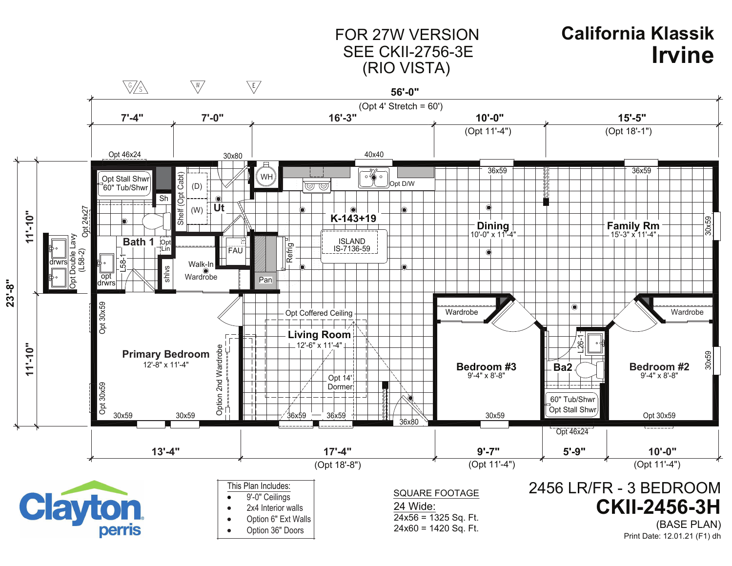## FOR 27W VERSIONSEE CKII-2756-3E(RIO VISTA)

## **IrvineCalifornia Klassik**